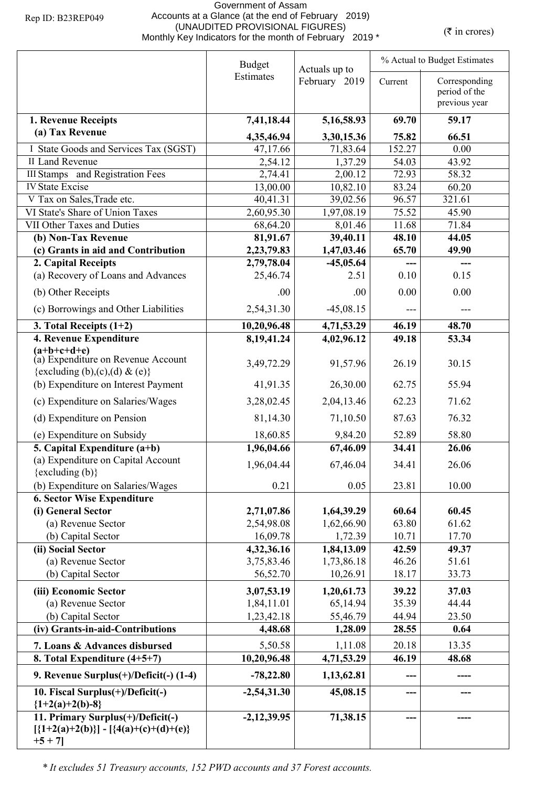## Government of Assam Accounts at a Glance (at the end of February 2019) (UNAUDITED PROVISIONAL FIGURES)<br>Monthly Key Indicators for the month of February 2019 \* (₹ in crores)

|                                                                                                                  | <b>Budget</b><br>Actuals up to |                    |                | % Actual to Budget Estimates                    |  |  |
|------------------------------------------------------------------------------------------------------------------|--------------------------------|--------------------|----------------|-------------------------------------------------|--|--|
|                                                                                                                  | Estimates                      | February 2019      | Current        | Corresponding<br>period of the<br>previous year |  |  |
|                                                                                                                  | 7,41,18.44                     | 5,16,58.93         | 69.70          | 59.17                                           |  |  |
| 1. Revenue Receipts<br>(a) Tax Revenue                                                                           |                                |                    |                |                                                 |  |  |
|                                                                                                                  | 4,35,46.94                     | 3,30,15.36         | 75.82          | 66.51                                           |  |  |
| I State Goods and Services Tax (SGST)                                                                            | 47,17.66                       | 71,83.64           | 152.27         | 0.00                                            |  |  |
| II Land Revenue<br><b>III Stamps</b> and Registration Fees                                                       | 2,54.12<br>2,74.41             | 1,37.29<br>2,00.12 | 54.03<br>72.93 | 43.92<br>58.32                                  |  |  |
| <b>IV State Excise</b>                                                                                           | 13,00.00                       | 10,82.10           | 83.24          | 60.20                                           |  |  |
| V Tax on Sales, Trade etc.                                                                                       | 40,41.31                       | 39,02.56           | 96.57          | 321.61                                          |  |  |
| VI State's Share of Union Taxes                                                                                  | 2,60,95.30                     | 1,97,08.19         | 75.52          | 45.90                                           |  |  |
| VII Other Taxes and Duties                                                                                       | 68,64.20                       | 8,01.46            | 11.68          | 71.84                                           |  |  |
| (b) Non-Tax Revenue                                                                                              | 81,91.67                       | 39,40.11           | 48.10          | 44.05                                           |  |  |
| (c) Grants in aid and Contribution                                                                               | 2,23,79.83                     | 1,47,03.46         | 65.70          | 49.90                                           |  |  |
| 2. Capital Receipts                                                                                              | 2,79,78.04                     | $-45,05.64$        | ---            | $\qquad \qquad \cdots$                          |  |  |
| (a) Recovery of Loans and Advances                                                                               | 25,46.74                       | 2.51               | 0.10           | 0.15                                            |  |  |
| (b) Other Receipts                                                                                               | .00                            | .00                | 0.00           | 0.00                                            |  |  |
| (c) Borrowings and Other Liabilities                                                                             | 2,54,31.30                     | $-45,08.15$        | ---            | ---                                             |  |  |
| 3. Total Receipts $(1+2)$                                                                                        | 10,20,96.48                    | 4,71,53.29         | 46.19          | 48.70                                           |  |  |
| 4. Revenue Expenditure                                                                                           | 8, 19, 41. 24                  | 4,02,96.12         | 49.18          | 53.34                                           |  |  |
| $(a+b+c+d+e)$<br>(a) Expenditure on Revenue Account<br>{excluding (b),(c),(d) & (e)}                             | 3,49,72.29                     | 91,57.96           | 26.19          | 30.15                                           |  |  |
| (b) Expenditure on Interest Payment                                                                              | 41,91.35                       | 26,30.00           | 62.75          | 55.94                                           |  |  |
| (c) Expenditure on Salaries/Wages                                                                                | 3,28,02.45                     | 2,04,13.46         | 62.23          | 71.62                                           |  |  |
| (d) Expenditure on Pension                                                                                       | 81,14.30                       | 71,10.50           | 87.63          | 76.32                                           |  |  |
| (e) Expenditure on Subsidy                                                                                       | 18,60.85                       | 9,84.20            | 52.89          | 58.80                                           |  |  |
| 5. Capital Expenditure $(a+b)$                                                                                   | 1,96,04.66                     | 67,46.09           | 34.41          | 26.06                                           |  |  |
| (a) Expenditure on Capital Account<br>{excluding (b)}                                                            | 1,96,04.44                     | 67,46.04           | 34.41          | 26.06                                           |  |  |
| (b) Expenditure on Salaries/Wages                                                                                | 0.21                           | 0.05               | 23.81          | 10.00                                           |  |  |
| <b>6. Sector Wise Expenditure</b>                                                                                |                                |                    |                |                                                 |  |  |
| (i) General Sector                                                                                               | 2,71,07.86                     | 1,64,39.29         | 60.64          | 60.45                                           |  |  |
| (a) Revenue Sector                                                                                               | 2,54,98.08                     | 1,62,66.90         | 63.80          | 61.62                                           |  |  |
| (b) Capital Sector                                                                                               | 16,09.78                       | 1,72.39            | 10.71          | 17.70                                           |  |  |
| (ii) Social Sector                                                                                               | 4,32,36.16                     | 1,84,13.09         | 42.59          | 49.37                                           |  |  |
| (a) Revenue Sector                                                                                               | 3,75,83.46                     | 1,73,86.18         | 46.26          | 51.61                                           |  |  |
| (b) Capital Sector                                                                                               | 56,52.70                       | 10,26.91           | 18.17          | 33.73                                           |  |  |
| (iii) Economic Sector                                                                                            | 3,07,53.19                     | 1,20,61.73         | 39.22          | 37.03                                           |  |  |
| (a) Revenue Sector                                                                                               | 1,84,11.01                     | 65,14.94           | 35.39          | 44.44                                           |  |  |
| (b) Capital Sector                                                                                               | 1,23,42.18                     | 55,46.79           | 44.94          | 23.50                                           |  |  |
| (iv) Grants-in-aid-Contributions                                                                                 | 4,48.68                        | 1,28.09            | 28.55          | 0.64                                            |  |  |
| 7. Loans & Advances disbursed                                                                                    | 5,50.58                        | 1,11.08            | 20.18          | 13.35                                           |  |  |
| 8. Total Expenditure (4+5+7)                                                                                     | 10,20,96.48                    | 4,71,53.29         | 46.19          | 48.68                                           |  |  |
| 9. Revenue Surplus(+)/Deficit(-) (1-4)                                                                           | $-78,22.80$                    | 1,13,62.81         |                |                                                 |  |  |
| 10. Fiscal Surplus(+)/Deficit(-)                                                                                 | $-2,54,31.30$                  | 45,08.15           | ---            |                                                 |  |  |
| ${1+2(a)+2(b)-8}$<br>11. Primary Surplus(+)/Deficit(-)<br>$[{1+2(a)+2(b)}] - [{4(a)+(c)+(d)+(e)}]$<br>$+5 + 7$ ] | $-2,12,39.95$                  | 71,38.15           |                |                                                 |  |  |

*\* It excludes 51 Treasury accounts, 152 PWD accounts and 37 Forest accounts.*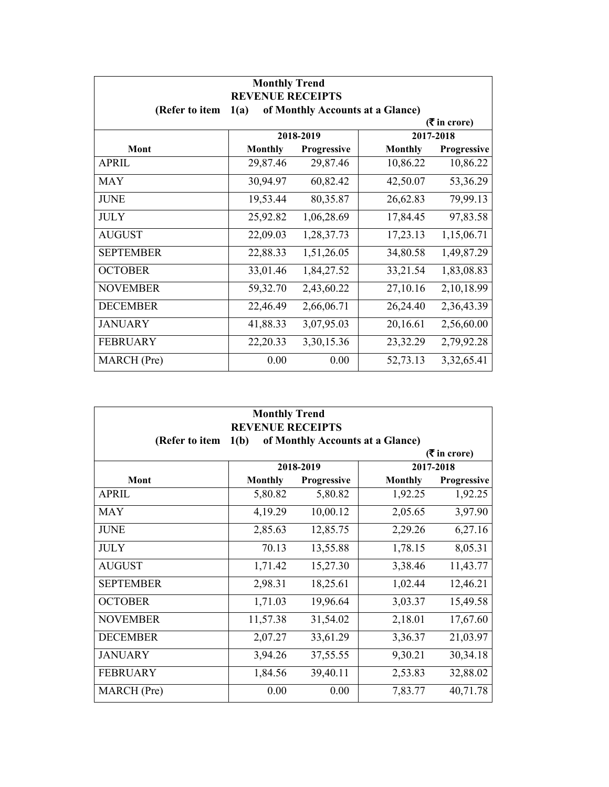| <b>Monthly Trend</b><br><b>REVENUE RECEIPTS</b>            |                             |              |                |             |  |  |
|------------------------------------------------------------|-----------------------------|--------------|----------------|-------------|--|--|
| (Refer to item<br>of Monthly Accounts at a Glance)<br>1(a) |                             |              |                |             |  |  |
|                                                            | $(3\overline{5})$ in crore) |              |                |             |  |  |
|                                                            |                             | 2018-2019    |                | 2017-2018   |  |  |
| <b>Mont</b>                                                | <b>Monthly</b>              | Progressive  | <b>Monthly</b> | Progressive |  |  |
| <b>APRIL</b>                                               | 29,87.46                    | 29,87.46     | 10,86.22       | 10,86.22    |  |  |
| <b>MAY</b>                                                 | 30,94.97                    | 60,82.42     | 42,50.07       | 53,36.29    |  |  |
| <b>JUNE</b>                                                | 19,53.44                    | 80,35.87     | 26,62.83       | 79,99.13    |  |  |
| <b>JULY</b>                                                | 25,92.82                    | 1,06,28.69   | 17,84.45       | 97,83.58    |  |  |
| <b>AUGUST</b>                                              | 22,09.03                    | 1,28,37.73   | 17,23.13       | 1,15,06.71  |  |  |
| <b>SEPTEMBER</b>                                           | 22,88.33                    | 1,51,26.05   | 34,80.58       | 1,49,87.29  |  |  |
| <b>OCTOBER</b>                                             | 33,01.46                    | 1,84,27.52   | 33,21.54       | 1,83,08.83  |  |  |
| <b>NOVEMBER</b>                                            | 59,32.70                    | 2,43,60.22   | 27,10.16       | 2,10,18.99  |  |  |
| <b>DECEMBER</b>                                            | 22,46.49                    | 2,66,06.71   | 26,24.40       | 2,36,43.39  |  |  |
| <b>JANUARY</b>                                             | 41,88.33                    | 3,07,95.03   | 20,16.61       | 2,56,60.00  |  |  |
| <b>FEBRUARY</b>                                            | 22,20.33                    | 3, 30, 15.36 | 23,32.29       | 2,79,92.28  |  |  |
| MARCH (Pre)                                                | 0.00                        | 0.00         | 52,73.13       | 3,32,65.41  |  |  |

| <b>Monthly Trend</b><br><b>REVENUE RECEIPTS</b> |                |                    |                                  |                               |
|-------------------------------------------------|----------------|--------------------|----------------------------------|-------------------------------|
| (Refer to item                                  | 1(b)           |                    | of Monthly Accounts at a Glance) |                               |
| 2018-2019<br>2017-2018                          |                |                    |                                  | $(5 \text{ in } \text{core})$ |
| Mont                                            | <b>Monthly</b> | <b>Progressive</b> | <b>Monthly</b>                   | Progressive                   |
| <b>APRIL</b>                                    | 5,80.82        | 5,80.82            | 1,92.25                          | 1,92.25                       |
| <b>MAY</b>                                      | 4,19.29        | 10,00.12           | 2,05.65                          | 3,97.90                       |
| <b>JUNE</b>                                     | 2,85.63        | 12,85.75           | 2,29.26                          | 6,27.16                       |
| <b>JULY</b>                                     | 70.13          | 13,55.88           | 1,78.15                          | 8,05.31                       |
| <b>AUGUST</b>                                   | 1,71.42        | 15,27.30           | 3,38.46                          | 11,43.77                      |
| <b>SEPTEMBER</b>                                | 2,98.31        | 18,25.61           | 1,02.44                          | 12,46.21                      |
| <b>OCTOBER</b>                                  | 1,71.03        | 19,96.64           | 3,03.37                          | 15,49.58                      |
| <b>NOVEMBER</b>                                 | 11,57.38       | 31,54.02           | 2,18.01                          | 17,67.60                      |
| <b>DECEMBER</b>                                 | 2,07.27        | 33,61.29           | 3,36.37                          | 21,03.97                      |
| <b>JANUARY</b>                                  | 3,94.26        | 37,55.55           | 9,30.21                          | 30,34.18                      |
| <b>FEBRUARY</b>                                 | 1,84.56        | 39,40.11           | 2,53.83                          | 32,88.02                      |
| MARCH (Pre)                                     | 0.00           | 0.00               | 7,83.77                          | 40,71.78                      |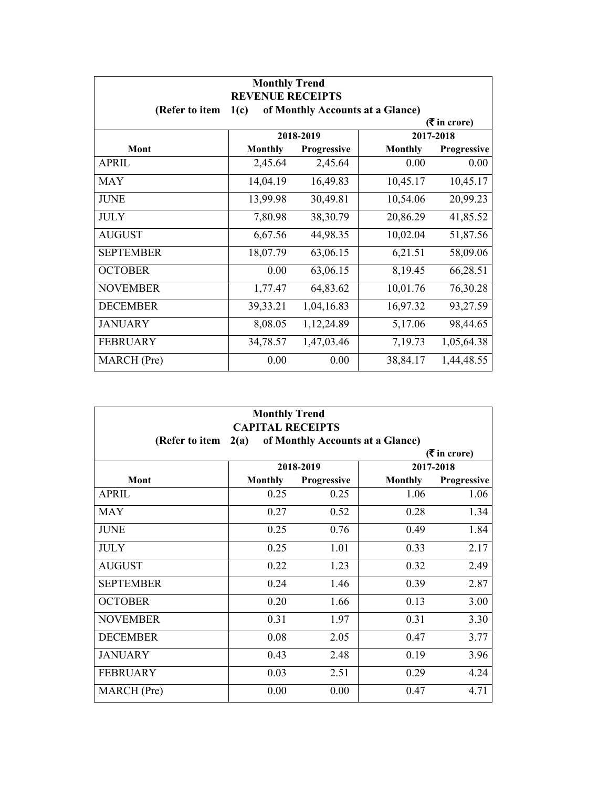| <b>Monthly Trend</b><br><b>REVENUE RECEIPTS</b>       |                                          |              |          |             |  |  |
|-------------------------------------------------------|------------------------------------------|--------------|----------|-------------|--|--|
| (Refer to item                                        | of Monthly Accounts at a Glance)<br>1(c) |              |          |             |  |  |
| $(3\overline{5})$ in crore)<br>2017-2018<br>2018-2019 |                                          |              |          |             |  |  |
| Mont                                                  | <b>Monthly</b>                           | Progressive  | Monthly  | Progressive |  |  |
| <b>APRIL</b>                                          | 2,45.64                                  | 2,45.64      | 0.00     | 0.00        |  |  |
| <b>MAY</b>                                            | 14,04.19                                 | 16,49.83     | 10,45.17 | 10,45.17    |  |  |
| <b>JUNE</b>                                           | 13,99.98                                 | 30,49.81     | 10,54.06 | 20,99.23    |  |  |
| <b>JULY</b>                                           | 7,80.98                                  | 38,30.79     | 20,86.29 | 41,85.52    |  |  |
| <b>AUGUST</b>                                         | 6,67.56                                  | 44,98.35     | 10,02.04 | 51,87.56    |  |  |
| <b>SEPTEMBER</b>                                      | 18,07.79                                 | 63,06.15     | 6,21.51  | 58,09.06    |  |  |
| <b>OCTOBER</b>                                        | 0.00                                     | 63,06.15     | 8,19.45  | 66,28.51    |  |  |
| <b>NOVEMBER</b>                                       | 1,77.47                                  | 64,83.62     | 10,01.76 | 76,30.28    |  |  |
| <b>DECEMBER</b>                                       | 39,33.21                                 | 1,04,16.83   | 16,97.32 | 93,27.59    |  |  |
| <b>JANUARY</b>                                        | 8,08.05                                  | 1, 12, 24.89 | 5,17.06  | 98,44.65    |  |  |
| <b>FEBRUARY</b>                                       | 34,78.57                                 | 1,47,03.46   | 7,19.73  | 1,05,64.38  |  |  |
| MARCH (Pre)                                           | 0.00                                     | 0.00         | 38,84.17 | 1,44,48.55  |  |  |

| <b>Monthly Trend</b><br><b>CAPITAL RECEIPTS</b>            |                |                    |                |             |
|------------------------------------------------------------|----------------|--------------------|----------------|-------------|
| of Monthly Accounts at a Glance)<br>2(a)<br>(Refer to item |                |                    |                |             |
| $(5 \text{ in } \text{core})$<br>2018-2019<br>2017-2018    |                |                    |                |             |
| Mont                                                       | <b>Monthly</b> | <b>Progressive</b> | <b>Monthly</b> | Progressive |
| <b>APRIL</b>                                               | 0.25           | 0.25               | 1.06           | 1.06        |
| <b>MAY</b>                                                 | 0.27           | 0.52               | 0.28           | 1.34        |
| <b>JUNE</b>                                                | 0.25           | 0.76               | 0.49           | 1.84        |
| <b>JULY</b>                                                | 0.25           | 1.01               | 0.33           | 2.17        |
| <b>AUGUST</b>                                              | 0.22           | 1.23               | 0.32           | 2.49        |
| <b>SEPTEMBER</b>                                           | 0.24           | 1.46               | 0.39           | 2.87        |
| <b>OCTOBER</b>                                             | 0.20           | 1.66               | 0.13           | 3.00        |
| <b>NOVEMBER</b>                                            | 0.31           | 1.97               | 0.31           | 3.30        |
| <b>DECEMBER</b>                                            | 0.08           | 2.05               | 0.47           | 3.77        |
| <b>JANUARY</b>                                             | 0.43           | 2.48               | 0.19           | 3.96        |
| <b>FEBRUARY</b>                                            | 0.03           | 2.51               | 0.29           | 4.24        |
| MARCH (Pre)                                                | 0.00           | 0.00               | 0.47           | 4.71        |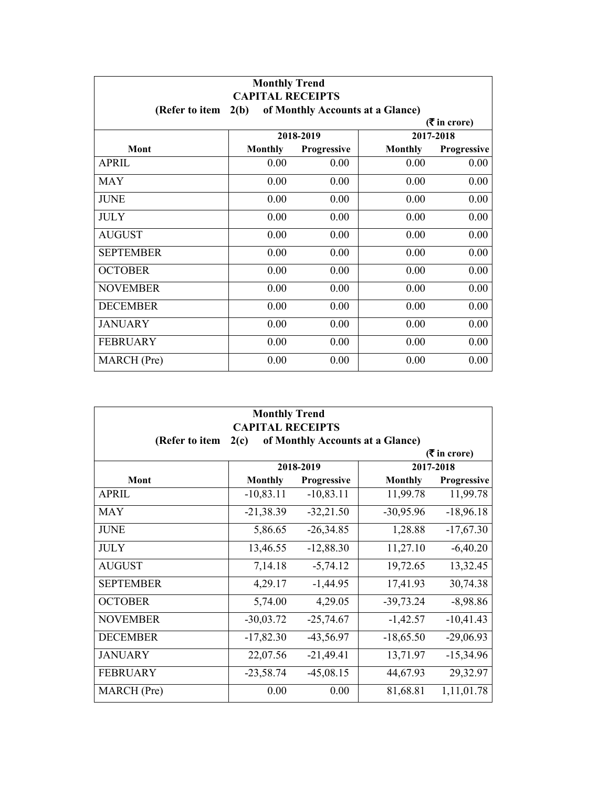| <b>Monthly Trend</b><br><b>CAPITAL RECEIPTS</b>            |                |                    |         |             |  |
|------------------------------------------------------------|----------------|--------------------|---------|-------------|--|
| 2(b)<br>of Monthly Accounts at a Glance)<br>(Refer to item |                |                    |         |             |  |
| $(3\overline{5})$ in crore)                                |                |                    |         |             |  |
|                                                            |                | 2018-2019          |         | 2017-2018   |  |
| Mont                                                       | <b>Monthly</b> | <b>Progressive</b> | Monthly | Progressive |  |
| <b>APRIL</b>                                               | 0.00           | 0.00               | 0.00    | 0.00        |  |
| <b>MAY</b>                                                 | 0.00           | 0.00               | 0.00    | 0.00        |  |
| <b>JUNE</b>                                                | 0.00           | 0.00               | 0.00    | 0.00        |  |
| <b>JULY</b>                                                | 0.00           | 0.00               | 0.00    | 0.00        |  |
| <b>AUGUST</b>                                              | 0.00           | 0.00               | 0.00    | 0.00        |  |
| <b>SEPTEMBER</b>                                           | 0.00           | 0.00               | 0.00    | 0.00        |  |
| <b>OCTOBER</b>                                             | 0.00           | 0.00               | 0.00    | 0.00        |  |
| <b>NOVEMBER</b>                                            | 0.00           | 0.00               | 0.00    | 0.00        |  |
| <b>DECEMBER</b>                                            | 0.00           | 0.00               | 0.00    | 0.00        |  |
| <b>JANUARY</b>                                             | 0.00           | 0.00               | 0.00    | 0.00        |  |
| <b>FEBRUARY</b>                                            | 0.00           | 0.00               | 0.00    | 0.00        |  |
| MARCH (Pre)                                                | 0.00           | 0.00               | 0.00    | 0.00        |  |

| <b>Monthly Trend</b><br><b>CAPITAL RECEIPTS</b>       |                                          |                    |                |             |  |  |
|-------------------------------------------------------|------------------------------------------|--------------------|----------------|-------------|--|--|
| (Refer to item                                        | of Monthly Accounts at a Glance)<br>2(c) |                    |                |             |  |  |
| $(3\overline{5})$ in crore)<br>2018-2019<br>2017-2018 |                                          |                    |                |             |  |  |
| Mont                                                  | <b>Monthly</b>                           | <b>Progressive</b> | <b>Monthly</b> | Progressive |  |  |
| <b>APRIL</b>                                          | $-10,83.11$                              | $-10,83.11$        | 11,99.78       | 11,99.78    |  |  |
| <b>MAY</b>                                            | $-21,38.39$                              | $-32,21.50$        | $-30,95.96$    | $-18,96.18$ |  |  |
| <b>JUNE</b>                                           | 5,86.65                                  | $-26,34.85$        | 1,28.88        | $-17,67.30$ |  |  |
| <b>JULY</b>                                           | 13,46.55                                 | $-12,88.30$        | 11,27.10       | $-6,40.20$  |  |  |
| <b>AUGUST</b>                                         | 7,14.18                                  | $-5,74.12$         | 19,72.65       | 13,32.45    |  |  |
| <b>SEPTEMBER</b>                                      | 4,29.17                                  | $-1,44.95$         | 17,41.93       | 30,74.38    |  |  |
| <b>OCTOBER</b>                                        | 5,74.00                                  | 4,29.05            | $-39,73.24$    | $-8,98.86$  |  |  |
| <b>NOVEMBER</b>                                       | $-30,03.72$                              | $-25,74.67$        | $-1,42.57$     | $-10,41.43$ |  |  |
| <b>DECEMBER</b>                                       | $-17,82.30$                              | $-43,56.97$        | $-18,65.50$    | $-29,06.93$ |  |  |
| <b>JANUARY</b>                                        | 22,07.56                                 | $-21,49.41$        | 13,71.97       | $-15,34.96$ |  |  |
| <b>FEBRUARY</b>                                       | $-23,58.74$                              | $-45,08.15$        | 44,67.93       | 29,32.97    |  |  |
| MARCH (Pre)                                           | 0.00                                     | 0.00               | 81,68.81       | 1,11,01.78  |  |  |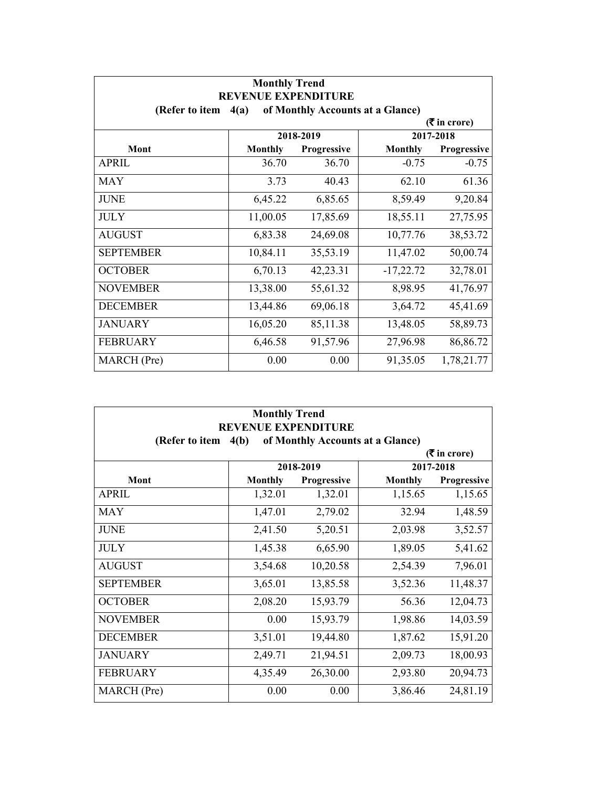| <b>Monthly Trend</b>                                                                     |                |             |                |             |  |
|------------------------------------------------------------------------------------------|----------------|-------------|----------------|-------------|--|
| <b>REVENUE EXPENDITURE</b><br>of Monthly Accounts at a Glance)<br>(Refer to item<br>4(a) |                |             |                |             |  |
| $(3\overline{5})$ in crore)                                                              |                |             |                |             |  |
|                                                                                          |                | 2018-2019   |                | 2017-2018   |  |
| <b>Mont</b>                                                                              | <b>Monthly</b> | Progressive | <b>Monthly</b> | Progressive |  |
| <b>APRIL</b>                                                                             | 36.70          | 36.70       | $-0.75$        | $-0.75$     |  |
| <b>MAY</b>                                                                               | 3.73           | 40.43       | 62.10          | 61.36       |  |
| <b>JUNE</b>                                                                              | 6,45.22        | 6,85.65     | 8,59.49        | 9,20.84     |  |
| <b>JULY</b>                                                                              | 11,00.05       | 17,85.69    | 18,55.11       | 27,75.95    |  |
| <b>AUGUST</b>                                                                            | 6,83.38        | 24,69.08    | 10,77.76       | 38,53.72    |  |
| <b>SEPTEMBER</b>                                                                         | 10,84.11       | 35,53.19    | 11,47.02       | 50,00.74    |  |
| <b>OCTOBER</b>                                                                           | 6,70.13        | 42,23.31    | $-17,22.72$    | 32,78.01    |  |
| <b>NOVEMBER</b>                                                                          | 13,38.00       | 55,61.32    | 8,98.95        | 41,76.97    |  |
| <b>DECEMBER</b>                                                                          | 13,44.86       | 69,06.18    | 3,64.72        | 45,41.69    |  |
| <b>JANUARY</b>                                                                           | 16,05.20       | 85,11.38    | 13,48.05       | 58,89.73    |  |
| <b>FEBRUARY</b>                                                                          | 6,46.58        | 91,57.96    | 27,96.98       | 86,86.72    |  |
| MARCH (Pre)                                                                              | 0.00           | 0.00        | 91,35.05       | 1,78,21.77  |  |

| <b>Monthly Trend</b> |                                                                |             |                |                               |  |  |
|----------------------|----------------------------------------------------------------|-------------|----------------|-------------------------------|--|--|
| (Refer to item       | <b>REVENUE EXPENDITURE</b><br>of Monthly Accounts at a Glance) |             |                |                               |  |  |
|                      | 4(b)                                                           |             |                | $(5 \text{ in } \text{core})$ |  |  |
|                      |                                                                | 2018-2019   |                | 2017-2018                     |  |  |
| <b>Mont</b>          | <b>Monthly</b>                                                 | Progressive | <b>Monthly</b> | Progressive                   |  |  |
| <b>APRIL</b>         | 1,32.01                                                        | 1,32.01     | 1,15.65        | 1,15.65                       |  |  |
| <b>MAY</b>           | 1,47.01                                                        | 2,79.02     | 32.94          | 1,48.59                       |  |  |
| <b>JUNE</b>          | 2,41.50                                                        | 5,20.51     | 2,03.98        | 3,52.57                       |  |  |
| <b>JULY</b>          | 1,45.38                                                        | 6,65.90     | 1,89.05        | 5,41.62                       |  |  |
| <b>AUGUST</b>        | 3,54.68                                                        | 10,20.58    | 2,54.39        | 7,96.01                       |  |  |
| <b>SEPTEMBER</b>     | 3,65.01                                                        | 13,85.58    | 3,52.36        | 11,48.37                      |  |  |
| <b>OCTOBER</b>       | 2,08.20                                                        | 15,93.79    | 56.36          | 12,04.73                      |  |  |
| <b>NOVEMBER</b>      | 0.00                                                           | 15,93.79    | 1,98.86        | 14,03.59                      |  |  |
| <b>DECEMBER</b>      | 3,51.01                                                        | 19,44.80    | 1,87.62        | 15,91.20                      |  |  |
| <b>JANUARY</b>       | 2,49.71                                                        | 21,94.51    | 2,09.73        | 18,00.93                      |  |  |
| <b>FEBRUARY</b>      | 4,35.49                                                        | 26,30.00    | 2,93.80        | 20,94.73                      |  |  |
| MARCH (Pre)          | 0.00                                                           | 0.00        | 3,86.46        | 24,81.19                      |  |  |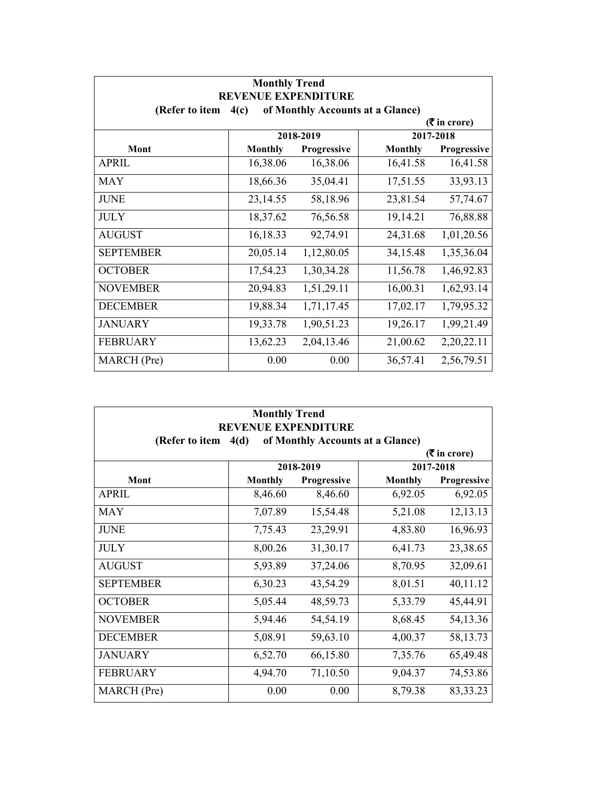| <b>Monthly Trend</b><br><b>REVENUE EXPENDITURE</b>         |                |             |                |             |  |
|------------------------------------------------------------|----------------|-------------|----------------|-------------|--|
| of Monthly Accounts at a Glance)<br>(Refer to item<br>4(c) |                |             |                |             |  |
| $(3\overline{5})$ in crore)                                |                |             |                |             |  |
|                                                            |                | 2018-2019   |                | 2017-2018   |  |
| Mont                                                       | <b>Monthly</b> | Progressive | <b>Monthly</b> | Progressive |  |
| <b>APRIL</b>                                               | 16,38.06       | 16,38.06    | 16,41.58       | 16,41.58    |  |
| <b>MAY</b>                                                 | 18,66.36       | 35,04.41    | 17,51.55       | 33,93.13    |  |
| <b>JUNE</b>                                                | 23,14.55       | 58,18.96    | 23,81.54       | 57,74.67    |  |
| <b>JULY</b>                                                | 18,37.62       | 76,56.58    | 19,14.21       | 76,88.88    |  |
| <b>AUGUST</b>                                              | 16,18.33       | 92,74.91    | 24,31.68       | 1,01,20.56  |  |
| <b>SEPTEMBER</b>                                           | 20,05.14       | 1,12,80.05  | 34,15.48       | 1,35,36.04  |  |
| <b>OCTOBER</b>                                             | 17,54.23       | 1,30,34.28  | 11,56.78       | 1,46,92.83  |  |
| <b>NOVEMBER</b>                                            | 20,94.83       | 1,51,29.11  | 16,00.31       | 1,62,93.14  |  |
| <b>DECEMBER</b>                                            | 19,88.34       | 1,71,17.45  | 17,02.17       | 1,79,95.32  |  |
| <b>JANUARY</b>                                             | 19,33.78       | 1,90,51.23  | 19,26.17       | 1,99,21.49  |  |
| <b>FEBRUARY</b>                                            | 13,62.23       | 2,04,13.46  | 21,00.62       | 2,20,22.11  |  |
| MARCH (Pre)                                                | 0.00           | 0.00        | 36,57.41       | 2,56,79.51  |  |

| <b>Monthly Trend</b> |                                                                        |                    |                |             |  |  |
|----------------------|------------------------------------------------------------------------|--------------------|----------------|-------------|--|--|
| (Refer to item       | <b>REVENUE EXPENDITURE</b><br>of Monthly Accounts at a Glance)<br>4(d) |                    |                |             |  |  |
|                      | $(5 \text{ in } \text{core})$                                          |                    |                |             |  |  |
|                      |                                                                        | 2018-2019          |                | 2017-2018   |  |  |
| Mont                 | <b>Monthly</b>                                                         | <b>Progressive</b> | <b>Monthly</b> | Progressive |  |  |
| <b>APRIL</b>         | 8,46.60                                                                | 8,46.60            | 6,92.05        | 6,92.05     |  |  |
| <b>MAY</b>           | 7,07.89                                                                | 15,54.48           | 5,21.08        | 12,13.13    |  |  |
| <b>JUNE</b>          | 7,75.43                                                                | 23,29.91           | 4,83.80        | 16,96.93    |  |  |
| <b>JULY</b>          | 8,00.26                                                                | 31,30.17           | 6,41.73        | 23,38.65    |  |  |
| <b>AUGUST</b>        | 5,93.89                                                                | 37,24.06           | 8,70.95        | 32,09.61    |  |  |
| <b>SEPTEMBER</b>     | 6,30.23                                                                | 43,54.29           | 8,01.51        | 40,11.12    |  |  |
| <b>OCTOBER</b>       | 5,05.44                                                                | 48,59.73           | 5,33.79        | 45,44.91    |  |  |
| <b>NOVEMBER</b>      | 5,94.46                                                                | 54,54.19           | 8,68.45        | 54,13.36    |  |  |
| <b>DECEMBER</b>      | 5,08.91                                                                | 59,63.10           | 4,00.37        | 58,13.73    |  |  |
| <b>JANUARY</b>       | 6,52.70                                                                | 66,15.80           | 7,35.76        | 65,49.48    |  |  |
| <b>FEBRUARY</b>      | 4,94.70                                                                | 71,10.50           | 9,04.37        | 74,53.86    |  |  |
| MARCH (Pre)          | 0.00                                                                   | 0.00               | 8,79.38        | 83, 33. 23  |  |  |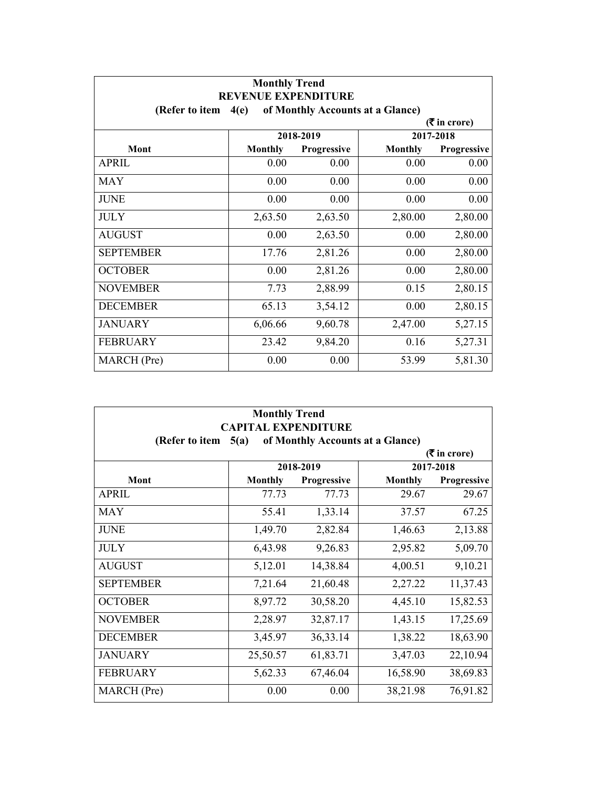| <b>Monthly Trend</b><br><b>REVENUE EXPENDITURE</b>         |                |             |                |             |  |
|------------------------------------------------------------|----------------|-------------|----------------|-------------|--|
| of Monthly Accounts at a Glance)<br>(Refer to item<br>4(e) |                |             |                |             |  |
| $(3\overline{5})$ in crore)                                |                |             |                |             |  |
|                                                            |                | 2018-2019   |                | 2017-2018   |  |
| Mont                                                       | <b>Monthly</b> | Progressive | <b>Monthly</b> | Progressive |  |
| <b>APRIL</b>                                               | 0.00           | 0.00        | 0.00           | 0.00        |  |
| <b>MAY</b>                                                 | 0.00           | 0.00        | 0.00           | 0.00        |  |
| <b>JUNE</b>                                                | 0.00           | 0.00        | 0.00           | 0.00        |  |
| <b>JULY</b>                                                | 2,63.50        | 2,63.50     | 2,80.00        | 2,80.00     |  |
| <b>AUGUST</b>                                              | 0.00           | 2,63.50     | 0.00           | 2,80.00     |  |
| <b>SEPTEMBER</b>                                           | 17.76          | 2,81.26     | 0.00           | 2,80.00     |  |
| <b>OCTOBER</b>                                             | 0.00           | 2,81.26     | 0.00           | 2,80.00     |  |
| <b>NOVEMBER</b>                                            | 7.73           | 2,88.99     | 0.15           | 2,80.15     |  |
| <b>DECEMBER</b>                                            | 65.13          | 3,54.12     | 0.00           | 2,80.15     |  |
| <b>JANUARY</b>                                             | 6,06.66        | 9,60.78     | 2,47.00        | 5,27.15     |  |
| <b>FEBRUARY</b>                                            | 23.42          | 9,84.20     | 0.16           | 5,27.31     |  |
| MARCH (Pre)                                                | 0.00           | 0.00        | 53.99          | 5,81.30     |  |

| <b>Monthly Trend</b><br><b>CAPITAL EXPENDITURE</b>         |                |             |                |             |  |  |  |
|------------------------------------------------------------|----------------|-------------|----------------|-------------|--|--|--|
| of Monthly Accounts at a Glance)<br>(Refer to item<br>5(a) |                |             |                |             |  |  |  |
| $(5 \text{ in } \text{core})$                              |                |             |                |             |  |  |  |
|                                                            | 2018-2019      |             |                | 2017-2018   |  |  |  |
| <b>Mont</b>                                                | <b>Monthly</b> | Progressive | <b>Monthly</b> | Progressive |  |  |  |
| <b>APRIL</b>                                               | 77.73          | 77.73       | 29.67          | 29.67       |  |  |  |
| <b>MAY</b>                                                 | 55.41          | 1,33.14     | 37.57          | 67.25       |  |  |  |
| <b>JUNE</b>                                                | 1,49.70        | 2,82.84     | 1,46.63        | 2,13.88     |  |  |  |
| <b>JULY</b>                                                | 6,43.98        | 9,26.83     | 2,95.82        | 5,09.70     |  |  |  |
| <b>AUGUST</b>                                              | 5,12.01        | 14,38.84    | 4,00.51        | 9,10.21     |  |  |  |
| <b>SEPTEMBER</b>                                           | 7,21.64        | 21,60.48    | 2,27.22        | 11,37.43    |  |  |  |
| <b>OCTOBER</b>                                             | 8,97.72        | 30,58.20    | 4,45.10        | 15,82.53    |  |  |  |
| <b>NOVEMBER</b>                                            | 2,28.97        | 32,87.17    | 1,43.15        | 17,25.69    |  |  |  |
| <b>DECEMBER</b>                                            | 3,45.97        | 36, 33. 14  | 1,38.22        | 18,63.90    |  |  |  |
| <b>JANUARY</b>                                             | 25,50.57       | 61,83.71    | 3,47.03        | 22,10.94    |  |  |  |
| <b>FEBRUARY</b>                                            | 5,62.33        | 67,46.04    | 16,58.90       | 38,69.83    |  |  |  |
| MARCH (Pre)                                                | 0.00           | 0.00        | 38,21.98       | 76,91.82    |  |  |  |